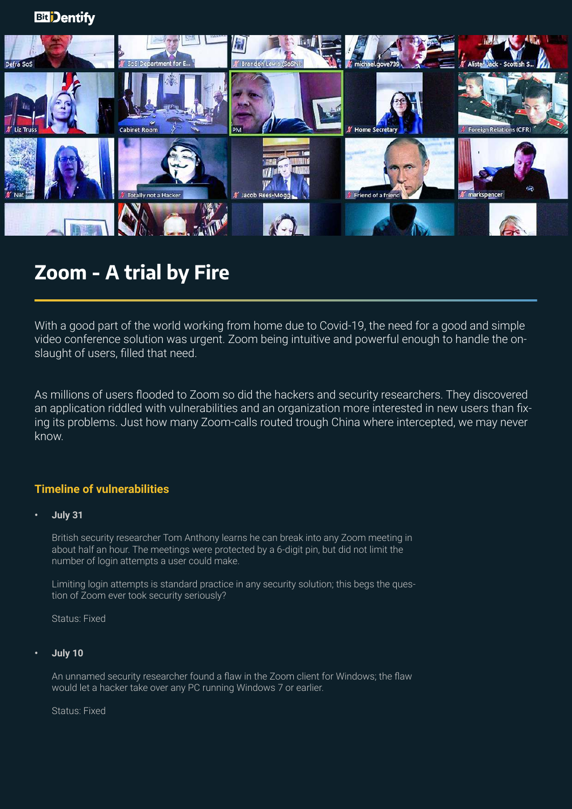

# **Zoom - A trial by Fire**

With a good part of the world working from home due to Covid-19, the need for a good and simple video conference solution was urgent. Zoom being intuitive and powerful enough to handle the onslaught of users, filled that need.

As millions of users flooded to Zoom so did the hackers and security researchers. They discovered an application riddled with vulnerabilities and an organization more interested in new users than fixing its problems. Just how many Zoom-calls routed trough China where intercepted, we may never know.

# **Timeline of vulnerabilities**

# **• July 31**

British security researcher Tom Anthony learns he can break into any Zoom meeting in about half an hour. The meetings were protected by a 6-digit pin, but did not limit the number of login attempts a user could make.

Limiting login attempts is standard practice in any security solution; this begs the question of Zoom ever took security seriously?

Status: Fixed

# **• July 10**

An unnamed security researcher found a flaw in the Zoom client for Windows; the flaw would let a hacker take over any PC running Windows 7 or earlier.

Status: Fixed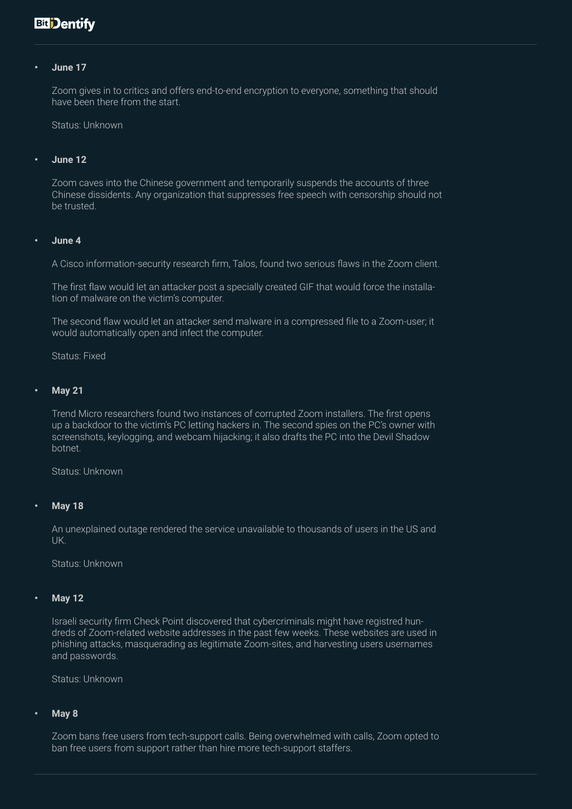# **Bit** Dentify

#### **• June 17**

Zoom gives in to critics and offers end-to-end encryption to everyone, something that should have been there from the start.

Status: Unknown

#### **• June 12**

Zoom caves into the Chinese government and temporarily suspends the accounts of three Chinese dissidents. Any organization that suppresses free speech with censorship should not be trusted.

#### **• June 4**

A Cisco information-security research firm, Talos, found two serious flaws in the Zoom client.

The first flaw would let an attacker post a specially created GIF that would force the installation of malware on the victim's computer.

The second flaw would let an attacker send malware in a compressed file to a Zoom-user; it would automatically open and infect the computer.

Status: Fixed

#### **• May 21**

Trend Micro researchers found two instances of corrupted Zoom installers. The first opens up a backdoor to the victim's PC letting hackers in. The second spies on the PC's owner with screenshots, keylogging, and webcam hijacking; it also drafts the PC into the Devil Shadow botnet.

Status: Unknown

#### **• May 18**

An unexplained outage rendered the service unavailable to thousands of users in the US and UK.

Status: Unknown

#### **• May 12**

Israeli security firm Check Point discovered that cybercriminals might have registred hundreds of Zoom-related website addresses in the past few weeks. These websites are used in phishing attacks, masquerading as legitimate Zoom-sites, and harvesting users usernames and passwords.

Status: Unknown

## **• May 8**

Zoom bans free users from tech-support calls. Being overwhelmed with calls, Zoom opted to ban free users from support rather than hire more tech-support staffers.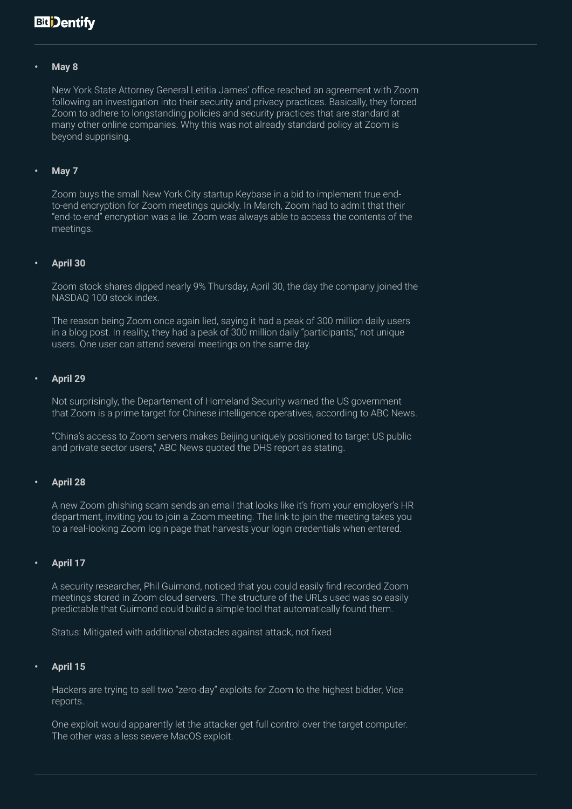# **Bit** Dentify

#### **• May 8**

New York State Attorney General Letitia James' office reached an agreement with Zoom following an investigation into their security and privacy practices. Basically, they forced Zoom to adhere to longstanding policies and security practices that are standard at many other online companies. Why this was not already standard policy at Zoom is beyond supprising.

#### **• May 7**

Zoom buys the small New York City startup Keybase in a bid to implement true endto-end encryption for Zoom meetings quickly. In March, Zoom had to admit that their "end-to-end" encryption was a lie. Zoom was always able to access the contents of the meetings.

#### **• April 30**

Zoom stock shares dipped nearly 9% Thursday, April 30, the day the company joined the NASDAQ 100 stock index.

The reason being Zoom once again lied, saying it had a peak of 300 million daily users in a blog post. In reality, they had a peak of 300 million daily "participants," not unique users. One user can attend several meetings on the same day.

#### **• April 29**

Not surprisingly, the Departement of Homeland Security warned the US government that Zoom is a prime target for Chinese intelligence operatives, according to ABC News.

"China's access to Zoom servers makes Beijing uniquely positioned to target US public and private sector users," ABC News quoted the DHS report as stating.

#### **• April 28**

A new Zoom phishing scam sends an email that looks like it's from your employer's HR department, inviting you to join a Zoom meeting. The link to join the meeting takes you to a real-looking Zoom login page that harvests your login credentials when entered.

#### **• April 17**

A security researcher, Phil Guimond, noticed that you could easily find recorded Zoom meetings stored in Zoom cloud servers. The structure of the URLs used was so easily predictable that Guimond could build a simple tool that automatically found them.

Status: Mitigated with additional obstacles against attack, not fixed

#### **• April 15**

Hackers are trying to sell two "zero-day" exploits for Zoom to the highest bidder, Vice reports.

One exploit would apparently let the attacker get full control over the target computer. The other was a less severe MacOS exploit.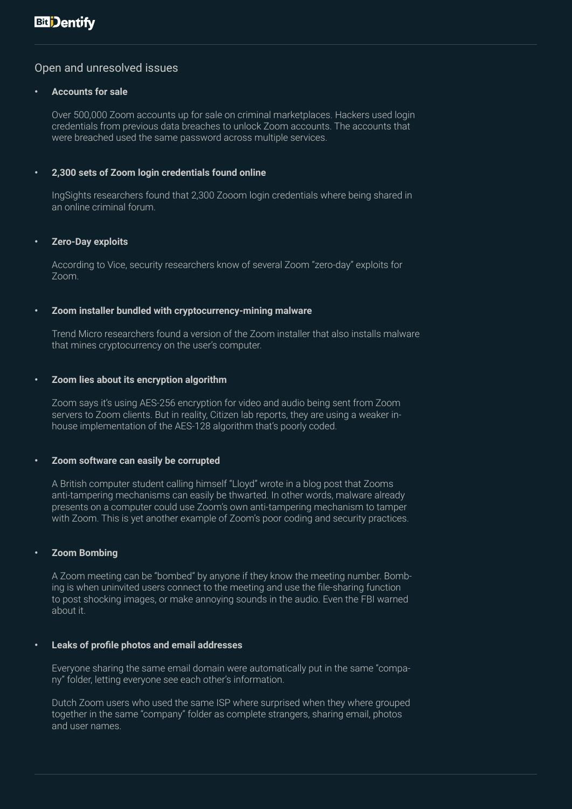# Open and unresolved issues

### **• Accounts for sale**

Over 500,000 Zoom accounts up for sale on criminal marketplaces. Hackers used login credentials from previous data breaches to unlock Zoom accounts. The accounts that were breached used the same password across multiple services.

# **• 2,300 sets of Zoom login credentials found online**

IngSights researchers found that 2,300 Zooom login credentials where being shared in an online criminal forum.

## **• Zero-Day exploits**

According to Vice, security researchers know of several Zoom "zero-day" exploits for Zoom.

## **• Zoom installer bundled with cryptocurrency-mining malware**

Trend Micro researchers found a version of the Zoom installer that also installs malware that mines cryptocurrency on the user's computer.

## **• Zoom lies about its encryption algorithm**

Zoom says it's using AES-256 encryption for video and audio being sent from Zoom servers to Zoom clients. But in reality, Citizen lab reports, they are using a weaker inhouse implementation of the AES-128 algorithm that's poorly coded.

#### **• Zoom software can easily be corrupted**

A British computer student calling himself "Lloyd" wrote in a blog post that Zooms anti-tampering mechanisms can easily be thwarted. In other words, malware already presents on a computer could use Zoom's own anti-tampering mechanism to tamper with Zoom. This is yet another example of Zoom's poor coding and security practices.

# **• Zoom Bombing**

A Zoom meeting can be "bombed" by anyone if they know the meeting number. Bombing is when uninvited users connect to the meeting and use the file-sharing function to post shocking images, or make annoying sounds in the audio. Even the FBI warned about it.

#### **• Leaks of profile photos and email addresses**

Everyone sharing the same email domain were automatically put in the same "company" folder, letting everyone see each other's information.

Dutch Zoom users who used the same ISP where surprised when they where grouped together in the same "company" folder as complete strangers, sharing email, photos and user names.